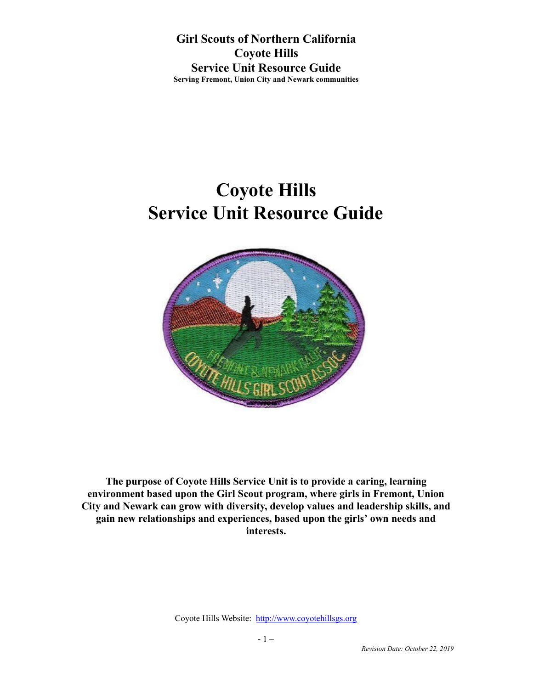# **Coyote Hills Service Unit Resource Guide**



**The purpose of Coyote Hills Service Unit is to provide a caring, learning environment based upon the Girl Scout program, where girls in Fremont, Union City and Newark can grow with diversity, develop values and leadership skills, and gain new relationships and experiences, based upon the girls' own needs and interests.**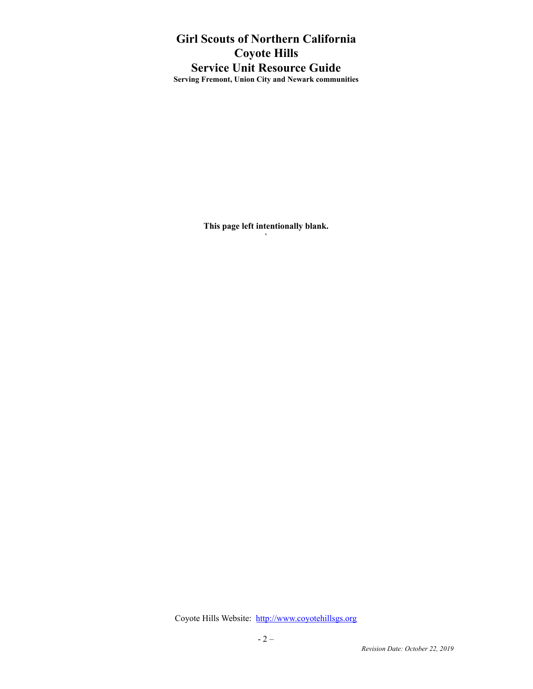**This page left intentionally blank.**  $\mathcal{L}$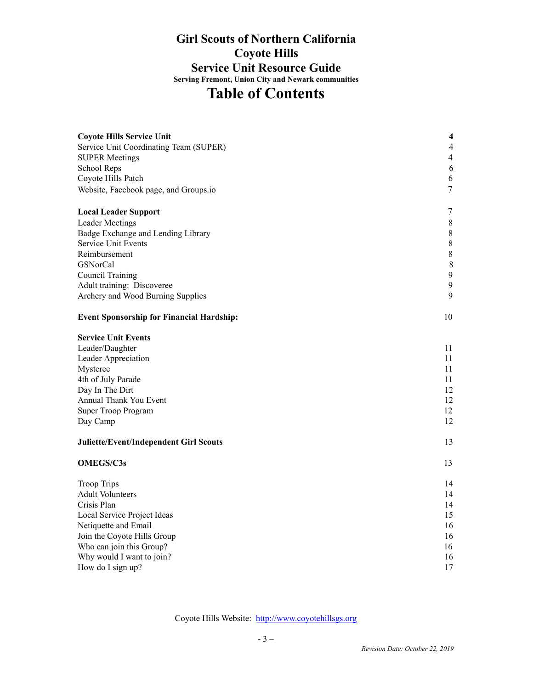# **Table of Contents**

<span id="page-2-0"></span>

| <b>Coyote Hills Service Unit</b>                 | 4              |
|--------------------------------------------------|----------------|
| Service Unit Coordinating Team (SUPER)           | 4              |
| <b>SUPER Meetings</b>                            | 4              |
| School Reps                                      | 6              |
| Coyote Hills Patch                               | 6              |
| Website, Facebook page, and Groups.io            | $\overline{7}$ |
| <b>Local Leader Support</b>                      | 7              |
| Leader Meetings                                  | $8\phantom{1}$ |
| Badge Exchange and Lending Library               | $\,8\,$        |
| Service Unit Events                              | $\,8\,$        |
| Reimbursement                                    | $\,8\,$        |
| <b>GSNorCal</b>                                  | 8              |
| Council Training                                 | $\mathbf{9}$   |
| Adult training: Discoveree                       | $\mathbf{9}$   |
| Archery and Wood Burning Supplies                | 9              |
| <b>Event Sponsorship for Financial Hardship:</b> | 10             |
| <b>Service Unit Events</b>                       |                |
| Leader/Daughter                                  | 11             |
| Leader Appreciation                              | 11             |
| Mysteree                                         | 11             |
| 4th of July Parade                               | 11             |
| Day In The Dirt                                  | 12             |
| Annual Thank You Event                           | 12             |
| Super Troop Program                              | 12             |
| Day Camp                                         | 12             |
| <b>Juliette/Event/Independent Girl Scouts</b>    | 13             |
| <b>OMEGS/C3s</b>                                 | 13             |
| <b>Troop Trips</b>                               | 14             |
| <b>Adult Volunteers</b>                          | 14             |
| Crisis Plan                                      | 14             |
| Local Service Project Ideas                      | 15             |
| Netiquette and Email                             | 16             |
| Join the Coyote Hills Group                      | 16             |
| Who can join this Group?                         | 16             |
| Why would I want to join?                        | 16             |
| How do I sign up?                                | 17             |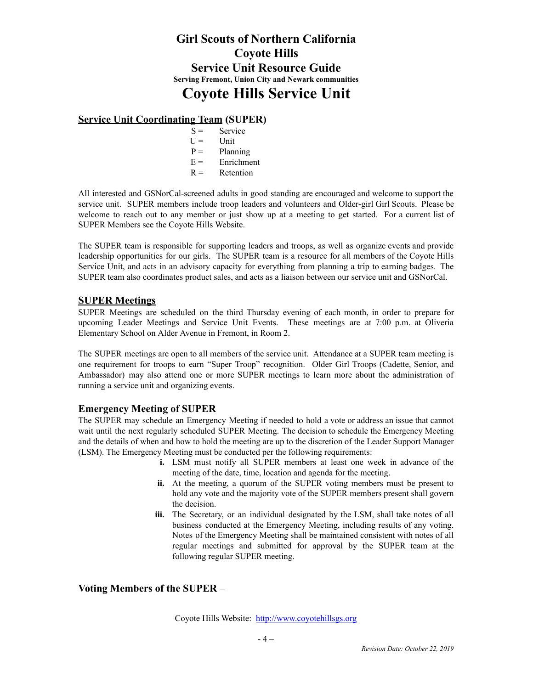#### <span id="page-3-0"></span>**Service Unit Coordinating Team (SUPER)**

- $S =$  Service
- $U =$  Unit
- $P =$  Planning
- $E =$  Enrichment
- $R =$ Retention

All interested and GSNorCal-screened adults in good standing are encouraged and welcome to support the service unit. SUPER members include troop leaders and volunteers and Older-girl Girl Scouts. Please be welcome to reach out to any member or just show up at a meeting to get started. For a current list of SUPER Members see the Coyote Hills Website.

The SUPER team is responsible for supporting leaders and troops, as well as organize events and provide leadership opportunities for our girls. The SUPER team is a resource for all members of the Coyote Hills Service Unit, and acts in an advisory capacity for everything from planning a trip to earning badges. The SUPER team also coordinates product sales, and acts as a liaison between our service unit and GSNorCal.

#### <span id="page-3-1"></span>**SUPER Meetings**

SUPER Meetings are scheduled on the third Thursday evening of each month, in order to prepare for upcoming Leader Meetings and Service Unit Events. These meetings are at 7:00 p.m. at Oliveria Elementary School on Alder Avenue in Fremont, in Room 2.

The SUPER meetings are open to all members of the service unit. Attendance at a SUPER team meeting is one requirement for troops to earn "Super Troop" recognition. Older Girl Troops (Cadette, Senior, and Ambassador) may also attend one or more SUPER meetings to learn more about the administration of running a service unit and organizing events.

#### **Emergency Meeting of SUPER**

The SUPER may schedule an Emergency Meeting if needed to hold a vote or address an issue that cannot wait until the next regularly scheduled SUPER Meeting. The decision to schedule the Emergency Meeting and the details of when and how to hold the meeting are up to the discretion of the Leader Support Manager (LSM). The Emergency Meeting must be conducted per the following requirements:

- **i.** LSM must notify all SUPER members at least one week in advance of the meeting of the date, time, location and agenda for the meeting.
- **ii.** At the meeting, a quorum of the SUPER voting members must be present to hold any vote and the majority vote of the SUPER members present shall govern the decision.
- **iii.** The Secretary, or an individual designated by the LSM, shall take notes of all business conducted at the Emergency Meeting, including results of any voting. Notes of the Emergency Meeting shall be maintained consistent with notes of all regular meetings and submitted for approval by the SUPER team at the following regular SUPER meeting.

#### **Voting Members of the SUPER** –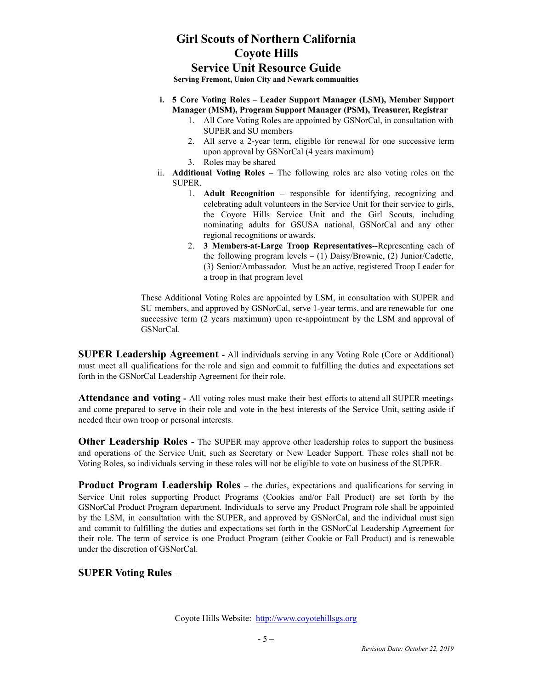#### **Service Unit Resource Guide**

**Serving Fremont, Union City and Newark communities** 

- **i. 5 Core Voting Roles Leader Support Manager (LSM), Member Support Manager (MSM), Program Support Manager (PSM), Treasurer, Registrar**
	- 1. All Core Voting Roles are appointed by GSNorCal, in consultation with SUPER and SU members
	- 2. All serve a 2-year term, eligible for renewal for one successive term upon approval by GSNorCal (4 years maximum)
	- 3. Roles may be shared
- ii. **Additional Voting Roles** The following roles are also voting roles on the SUPER.
	- 1. **Adult Recognition –** responsible for identifying, recognizing and celebrating adult volunteers in the Service Unit for their service to girls, the Coyote Hills Service Unit and the Girl Scouts, including nominating adults for GSUSA national, GSNorCal and any other regional recognitions or awards.
	- 2. **3 Members-at-Large Troop Representatives**--Representing each of the following program levels  $- (1)$  Daisy/Brownie, (2) Junior/Cadette, (3) Senior/Ambassador. Must be an active, registered Troop Leader for a troop in that program level

These Additional Voting Roles are appointed by LSM, in consultation with SUPER and SU members, and approved by GSNorCal, serve 1-year terms, and are renewable for one successive term (2 years maximum) upon re-appointment by the LSM and approval of GSNorCal.

**SUPER Leadership Agreement -** All individuals serving in any Voting Role (Core or Additional) must meet all qualifications for the role and sign and commit to fulfilling the duties and expectations set forth in the GSNorCal Leadership Agreement for their role.

**Attendance and voting -** All voting roles must make their best efforts to attend all SUPER meetings and come prepared to serve in their role and vote in the best interests of the Service Unit, setting aside if needed their own troop or personal interests.

**Other Leadership Roles** - The SUPER may approve other leadership roles to support the business and operations of the Service Unit, such as Secretary or New Leader Support. These roles shall not be Voting Roles, so individuals serving in these roles will not be eligible to vote on business of the SUPER.

**Product Program Leadership Roles –** the duties, expectations and qualifications for serving in Service Unit roles supporting Product Programs (Cookies and/or Fall Product) are set forth by the GSNorCal Product Program department. Individuals to serve any Product Program role shall be appointed by the LSM, in consultation with the SUPER, and approved by GSNorCal, and the individual must sign and commit to fulfilling the duties and expectations set forth in the GSNorCal Leadership Agreement for their role. The term of service is one Product Program (either Cookie or Fall Product) and is renewable under the discretion of GSNorCal.

#### **SUPER Voting Rules** –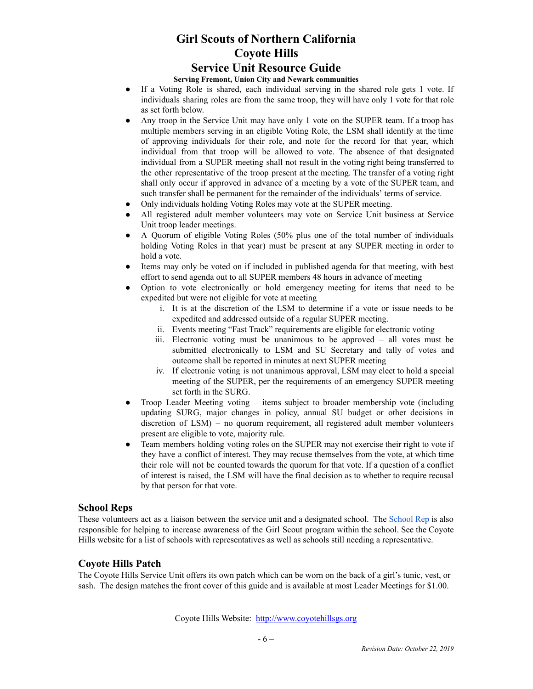### **Service Unit Resource Guide**

#### **Serving Fremont, Union City and Newark communities**

- If a Voting Role is shared, each individual serving in the shared role gets 1 vote. If individuals sharing roles are from the same troop, they will have only 1 vote for that role as set forth below.
- Any troop in the Service Unit may have only 1 vote on the SUPER team. If a troop has multiple members serving in an eligible Voting Role, the LSM shall identify at the time of approving individuals for their role, and note for the record for that year, which individual from that troop will be allowed to vote. The absence of that designated individual from a SUPER meeting shall not result in the voting right being transferred to the other representative of the troop present at the meeting. The transfer of a voting right shall only occur if approved in advance of a meeting by a vote of the SUPER team, and such transfer shall be permanent for the remainder of the individuals' terms of service.
- Only individuals holding Voting Roles may vote at the SUPER meeting.
- All registered adult member volunteers may vote on Service Unit business at Service Unit troop leader meetings.
- A Quorum of eligible Voting Roles (50% plus one of the total number of individuals holding Voting Roles in that year) must be present at any SUPER meeting in order to hold a vote.
- Items may only be voted on if included in published agenda for that meeting, with best effort to send agenda out to all SUPER members 48 hours in advance of meeting
- Option to vote electronically or hold emergency meeting for items that need to be expedited but were not eligible for vote at meeting
	- i. It is at the discretion of the LSM to determine if a vote or issue needs to be expedited and addressed outside of a regular SUPER meeting.
	- ii. Events meeting "Fast Track" requirements are eligible for electronic voting
	- iii. Electronic voting must be unanimous to be approved all votes must be submitted electronically to LSM and SU Secretary and tally of votes and outcome shall be reported in minutes at next SUPER meeting
	- iv. If electronic voting is not unanimous approval, LSM may elect to hold a special meeting of the SUPER, per the requirements of an emergency SUPER meeting set forth in the SURG.
- Troop Leader Meeting voting items subject to broader membership vote (including updating SURG, major changes in policy, annual SU budget or other decisions in discretion of LSM) – no quorum requirement, all registered adult member volunteers present are eligible to vote, majority rule.
- Team members holding voting roles on the SUPER may not exercise their right to vote if they have a conflict of interest. They may recuse themselves from the vote, at which time their role will not be counted towards the quorum for that vote. If a question of a conflict of interest is raised, the LSM will have the final decision as to whether to require recusal by that person for that vote.

#### <span id="page-5-0"></span>**School Reps**

These volunteers act as a liaison between the service unit and a designated school. The [School](https://www.gsnorcal.org/content/dam/girlscouts-gsnorcal/documents/volunteer_resources/position-descriptions/service-unit/su-school-rep.pdf) Rep is also responsible for helping to increase awareness of the Girl Scout program within the school. See the Coyote Hills website for a list of schools with representatives as well as schools still needing a representative.

#### <span id="page-5-1"></span>**Coyote Hills Patch**

The Coyote Hills Service Unit offers its own patch which can be worn on the back of a girl's tunic, vest, or sash. The design matches the front cover of this guide and is available at most Leader Meetings for \$1.00.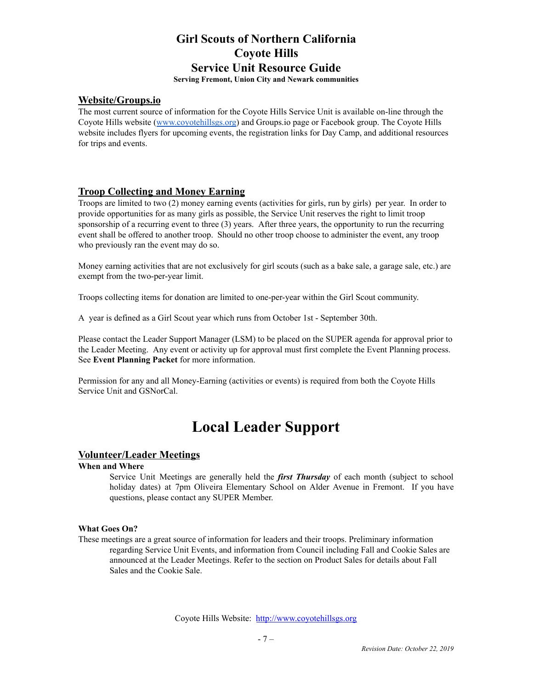#### **Serving Fremont, Union City and Newark communities**

#### <span id="page-6-0"></span>**Website/Groups.io**

The most current source of information for the Coyote Hills Service Unit is available on-line through the Coyote Hills website ([www.coyotehillsgs.org\)](http://www.coyotehillsgs.org/) and Groups.io page or Facebook group. The Coyote Hills website includes flyers for upcoming events, the registration links for Day Camp, and additional resources for trips and events.

#### **Troop Collecting and Money Earning**

Troops are limited to two (2) money earning events (activities for girls, run by girls) per year. In order to provide opportunities for as many girls as possible, the Service Unit reserves the right to limit troop sponsorship of a recurring event to three (3) years. After three years, the opportunity to run the recurring event shall be offered to another troop. Should no other troop choose to administer the event, any troop who previously ran the event may do so.

Money earning activities that are not exclusively for girl scouts (such as a bake sale, a garage sale, etc.) are exempt from the two-per-year limit.

Troops collecting items for donation are limited to one-per-year within the Girl Scout community.

A year is defined as a Girl Scout year which runs from October 1st - September 30th.

Please contact the Leader Support Manager (LSM) to be placed on the SUPER agenda for approval prior to the Leader Meeting. Any event or activity up for approval must first complete the Event Planning process. See **Event Planning Packet** for more information.

Permission for any and all Money-Earning (activities or events) is required from both the Coyote Hills Service Unit and GSNorCal.

# **Local Leader Support**

#### <span id="page-6-2"></span><span id="page-6-1"></span>**Volunteer/Leader Meetings**

#### **When and Where**

Service Unit Meetings are generally held the *first Thursday* of each month (subject to school holiday dates) at 7pm Oliveira Elementary School on Alder Avenue in Fremont. If you have questions, please contact any SUPER Member.

#### **What Goes On?**

These meetings are a great source of information for leaders and their troops. Preliminary information regarding Service Unit Events, and information from Council including Fall and Cookie Sales are announced at the Leader Meetings. Refer to the section on Product Sales for details about Fall Sales and the Cookie Sale.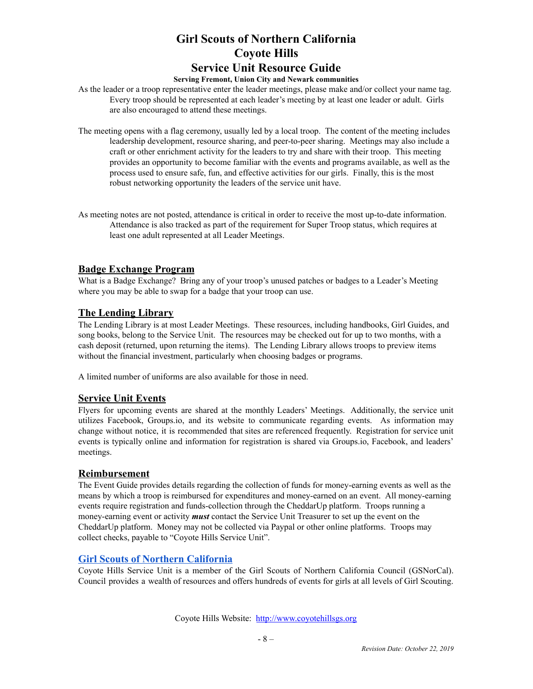### **Serving Fremont, Union City and Newark communities**

As the leader or a troop representative enter the leader meetings, please make and/or collect your name tag. Every troop should be represented at each leader's meeting by at least one leader or adult. Girls are also encouraged to attend these meetings.

- The meeting opens with a flag ceremony, usually led by a local troop. The content of the meeting includes leadership development, resource sharing, and peer-to-peer sharing. Meetings may also include a craft or other enrichment activity for the leaders to try and share with their troop. This meeting provides an opportunity to become familiar with the events and programs available, as well as the process used to ensure safe, fun, and effective activities for our girls. Finally, this is the most robust networking opportunity the leaders of the service unit have.
- As meeting notes are not posted, attendance is critical in order to receive the most up-to-date information. Attendance is also tracked as part of the requirement for Super Troop status, which requires at least one adult represented at all Leader Meetings.

#### **Badge Exchange Program**

What is a Badge Exchange? Bring any of your troop's unused patches or badges to a Leader's Meeting where you may be able to swap for a badge that your troop can use.

#### **The Lending Library**

The Lending Library is at most Leader Meetings. These resources, including handbooks, Girl Guides, and song books, belong to the Service Unit. The resources may be checked out for up to two months, with a cash deposit (returned, upon returning the items). The Lending Library allows troops to preview items without the financial investment, particularly when choosing badges or programs.

A limited number of uniforms are also available for those in need.

#### **Service Unit Events**

Flyers for upcoming events are shared at the monthly Leaders' Meetings. Additionally, the service unit utilizes Facebook, Groups.io, and its website to communicate regarding events. As information may change without notice, it is recommended that sites are referenced frequently. Registration for service unit events is typically online and information for registration is shared via Groups.io, Facebook, and leaders' meetings.

#### **Reimbursement**

The Event Guide provides details regarding the collection of funds for money-earning events as well as the means by which a troop is reimbursed for expenditures and money-earned on an event. All money-earning events require registration and funds-collection through the CheddarUp platform. Troops running a money-earning event or activity *must* contact the Service Unit Treasurer to set up the event on the CheddarUp platform. Money may not be collected via Paypal or other online platforms. Troops may collect checks, payable to "Coyote Hills Service Unit".

#### **[Girl Scouts of Northern California](https://www.gsnorcal.org/)**

Coyote Hills Service Unit is a member of the Girl Scouts of Northern California Council (GSNorCal). Council provides a wealth of resources and offers hundreds of events for girls at all levels of Girl Scouting.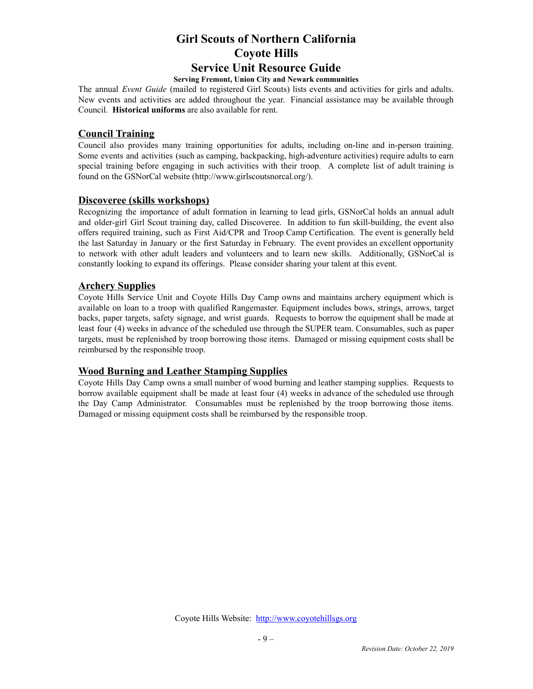# **Service Unit Resource Guide**

#### **Serving Fremont, Union City and Newark communities**

The annual *Event Guide* (mailed to registered Girl Scouts) lists events and activities for girls and adults. New events and activities are added throughout the year. Financial assistance may be available through Council. **Historical uniforms** are also available for rent.

#### <span id="page-8-0"></span>**Council Training**

Council also provides many training opportunities for adults, including on-line and in-person training. Some events and activities (such as camping, backpacking, high-adventure activities) require adults to earn special training before engaging in such activities with their troop. A complete list of adult training is found on the GSNorCal website (http://www.girlscoutsnorcal.org/).

#### <span id="page-8-1"></span>**Discoveree (skills workshops)**

Recognizing the importance of adult formation in learning to lead girls, GSNorCal holds an annual adult and older-girl Girl Scout training day, called Discoveree. In addition to fun skill-building, the event also offers required training, such as First Aid/CPR and Troop Camp Certification. The event is generally held the last Saturday in January or the first Saturday in February. The event provides an excellent opportunity to network with other adult leaders and volunteers and to learn new skills. Additionally, GSNorCal is constantly looking to expand its offerings. Please consider sharing your talent at this event.

#### **Archery Supplies**

Coyote Hills Service Unit and Coyote Hills Day Camp owns and maintains archery equipment which is available on loan to a troop with qualified Rangemaster. Equipment includes bows, strings, arrows, target backs, paper targets, safety signage, and wrist guards. Requests to borrow the equipment shall be made at least four (4) weeks in advance of the scheduled use through the SUPER team. Consumables, such as paper targets, must be replenished by troop borrowing those items. Damaged or missing equipment costs shall be reimbursed by the responsible troop.

#### **Wood Burning and Leather Stamping Supplies**

<span id="page-8-2"></span>Coyote Hills Day Camp owns a small number of wood burning and leather stamping supplies. Requests to borrow available equipment shall be made at least four (4) weeks in advance of the scheduled use through the Day Camp Administrator. Consumables must be replenished by the troop borrowing those items. Damaged or missing equipment costs shall be reimbursed by the responsible troop.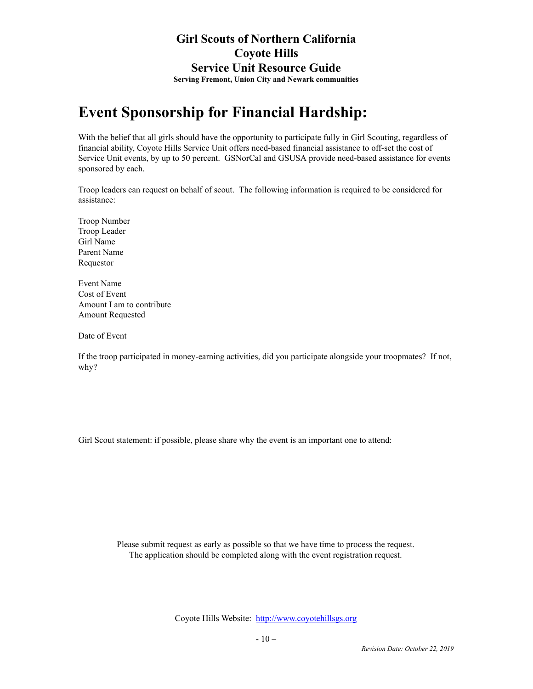# **Event Sponsorship for Financial Hardship:**

With the belief that all girls should have the opportunity to participate fully in Girl Scouting, regardless of financial ability, Coyote Hills Service Unit offers need-based financial assistance to off-set the cost of Service Unit events, by up to 50 percent. GSNorCal and GSUSA provide need-based assistance for events sponsored by each.

Troop leaders can request on behalf of scout. The following information is required to be considered for assistance:

Troop Number Troop Leader Girl Name Parent Name Requestor

Event Name Cost of Event Amount I am to contribute Amount Requested

Date of Event

If the troop participated in money-earning activities, did you participate alongside your troopmates? If not, why?

Girl Scout statement: if possible, please share why the event is an important one to attend:

Please submit request as early as possible so that we have time to process the request. The application should be completed along with the event registration request.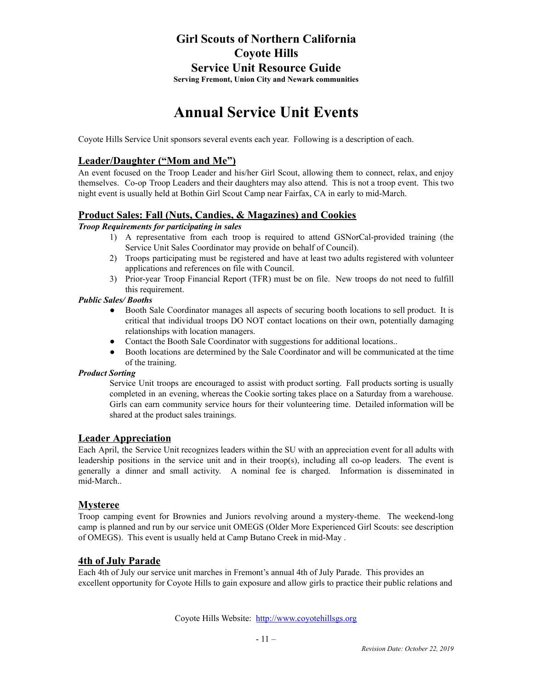**Serving Fremont, Union City and Newark communities** 

# **Annual Service Unit Events**

<span id="page-10-0"></span>Coyote Hills Service Unit sponsors several events each year. Following is a description of each.

#### **Leader/Daughter ("Mom and Me")**

An event focused on the Troop Leader and his/her Girl Scout, allowing them to connect, relax, and enjoy themselves. Co-op Troop Leaders and their daughters may also attend. This is not a troop event. This two night event is usually held at Bothin Girl Scout Camp near Fairfax, CA in early to mid-March.

#### **Product Sales: Fall (Nuts, Candies, & Magazines) and Cookies**

#### *Troop Requirements for participating in sales*

- 1) A representative from each troop is required to attend GSNorCal-provided training (the Service Unit Sales Coordinator may provide on behalf of Council).
- 2) Troops participating must be registered and have at least two adults registered with volunteer applications and references on file with Council.
- 3) Prior-year Troop Financial Report (TFR) must be on file. New troops do not need to fulfill this requirement.

#### *Public Sales/ Booths*

- Booth Sale Coordinator manages all aspects of securing booth locations to sell product. It is critical that individual troops DO NOT contact locations on their own, potentially damaging relationships with location managers.
- Contact the Booth Sale Coordinator with suggestions for additional locations..
- Booth locations are determined by the Sale Coordinator and will be communicated at the time of the training.

#### *Product Sorting*

Service Unit troops are encouraged to assist with product sorting. Fall products sorting is usually completed in an evening, whereas the Cookie sorting takes place on a Saturday from a warehouse. Girls can earn community service hours for their volunteering time. Detailed information will be shared at the product sales trainings.

#### <span id="page-10-1"></span>**Leader Appreciation**

Each April, the Service Unit recognizes leaders within the SU with an appreciation event for all adults with leadership positions in the service unit and in their troop(s), including all co-op leaders. The event is generally a dinner and small activity. A nominal fee is charged. Information is disseminated in mid-March..

#### <span id="page-10-2"></span>**Mysteree**

Troop camping event for Brownies and Juniors revolving around a mystery-theme. The weekend-long camp is planned and run by our service unit OMEGS (Older More Experienced Girl Scouts: see description of OMEGS). This event is usually held at Camp Butano Creek in mid-May .

#### <span id="page-10-3"></span>**4th of July Parade**

Each 4th of July our service unit marches in Fremont's annual 4th of July Parade. This provides an excellent opportunity for Coyote Hills to gain exposure and allow girls to practice their public relations and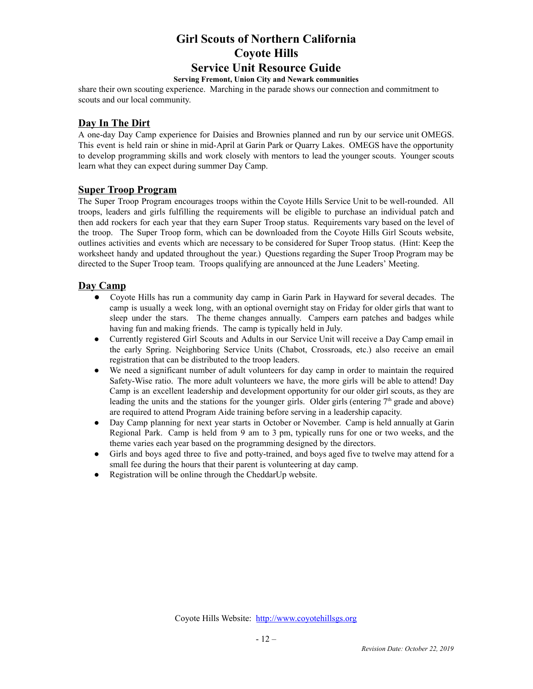## **Service Unit Resource Guide**

**Serving Fremont, Union City and Newark communities** 

share their own scouting experience. Marching in the parade shows our connection and commitment to scouts and our local community.

#### <span id="page-11-0"></span>**Day In The Dirt**

A one-day Day Camp experience for Daisies and Brownies planned and run by our service unit OMEGS. This event is held rain or shine in mid-April at Garin Park or Quarry Lakes. OMEGS have the opportunity to develop programming skills and work closely with mentors to lead the younger scouts. Younger scouts learn what they can expect during summer Day Camp.

#### <span id="page-11-1"></span>**Super Troop Program**

The Super Troop Program encourages troops within the Coyote Hills Service Unit to be well-rounded. All troops, leaders and girls fulfilling the requirements will be eligible to purchase an individual patch and then add rockers for each year that they earn Super Troop status. Requirements vary based on the level of the troop. The Super Troop form, which can be downloaded from the Coyote Hills Girl Scouts website, outlines activities and events which are necessary to be considered for Super Troop status. (Hint: Keep the worksheet handy and updated throughout the year.) Questions regarding the Super Troop Program may be directed to the Super Troop team. Troops qualifying are announced at the June Leaders' Meeting.

#### **Day Camp**

- Coyote Hills has run a community day camp in Garin Park in Hayward for several decades. The camp is usually a week long, with an optional overnight stay on Friday for older girls that want to sleep under the stars. The theme changes annually. Campers earn patches and badges while having fun and making friends. The camp is typically held in July.
- Currently registered Girl Scouts and Adults in our Service Unit will receive a Day Camp email in the early Spring. Neighboring Service Units (Chabot, Crossroads, etc.) also receive an email registration that can be distributed to the troop leaders.
- We need a significant number of adult volunteers for day camp in order to maintain the required Safety-Wise ratio. The more adult volunteers we have, the more girls will be able to attend! Day Camp is an excellent leadership and development opportunity for our older girl scouts, as they are leading the units and the stations for the younger girls. Older girls (entering  $7<sup>th</sup>$  grade and above) are required to attend Program Aide training before serving in a leadership capacity.
- Day Camp planning for next year starts in October or November. Camp is held annually at Garin Regional Park. Camp is held from 9 am to 3 pm, typically runs for one or two weeks, and the theme varies each year based on the programming designed by the directors.
- Girls and boys aged three to five and potty-trained, and boys aged five to twelve may attend for a small fee during the hours that their parent is volunteering at day camp.
- <span id="page-11-2"></span>● Registration will be online through the CheddarUp website.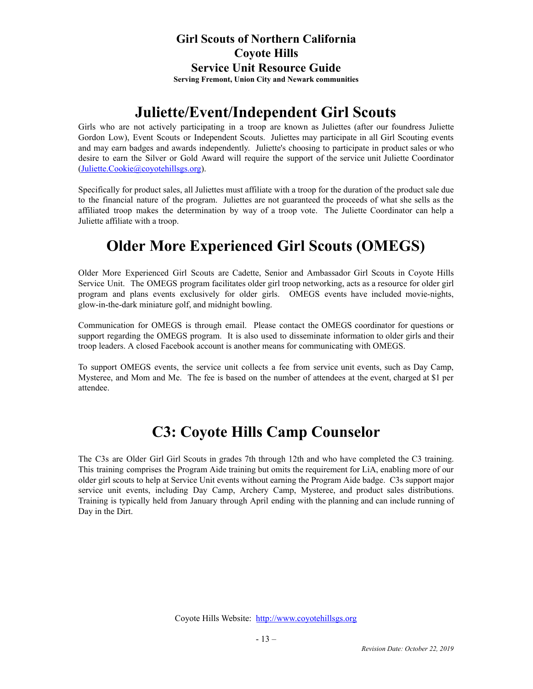**Serving Fremont, Union City and Newark communities** 

# **Juliette/Event/Independent Girl Scouts**

Girls who are not actively participating in a troop are known as Juliettes (after our foundress Juliette Gordon Low), Event Scouts or Independent Scouts. Juliettes may participate in all Girl Scouting events and may earn badges and awards independently. Juliette's choosing to participate in product sales or who desire to earn the Silver or Gold Award will require the support of the service unit Juliette Coordinator [\(Juliette.Cookie@coyotehillsgs.org](mailto:Juliette.Cookie@coyotehillsgs.org)).

Specifically for product sales, all Juliettes must affiliate with a troop for the duration of the product sale due to the financial nature of the program. Juliettes are not guaranteed the proceeds of what she sells as the affiliated troop makes the determination by way of a troop vote. The Juliette Coordinator can help a Juliette affiliate with a troop.

# <span id="page-12-0"></span>**Older More Experienced Girl Scouts (OMEGS)**

Older More Experienced Girl Scouts are Cadette, Senior and Ambassador Girl Scouts in Coyote Hills Service Unit. The OMEGS program facilitates older girl troop networking, acts as a resource for older girl program and plans events exclusively for older girls. OMEGS events have included movie-nights, glow-in-the-dark miniature golf, and midnight bowling.

Communication for OMEGS is through email. Please contact the OMEGS coordinator for questions or support regarding the OMEGS program. It is also used to disseminate information to older girls and their troop leaders. A closed Facebook account is another means for communicating with OMEGS.

To support OMEGS events, the service unit collects a fee from service unit events, such as Day Camp, Mysteree, and Mom and Me. The fee is based on the number of attendees at the event, charged at \$1 per attendee.

# **C3: Coyote Hills Camp Counselor**

The C3s are Older Girl Girl Scouts in grades 7th through 12th and who have completed the C3 training. This training comprises the Program Aide training but omits the requirement for LiA, enabling more of our older girl scouts to help at Service Unit events without earning the Program Aide badge. C3s support major service unit events, including Day Camp, Archery Camp, Mysteree, and product sales distributions. Training is typically held from January through April ending with the planning and can include running of Day in the Dirt.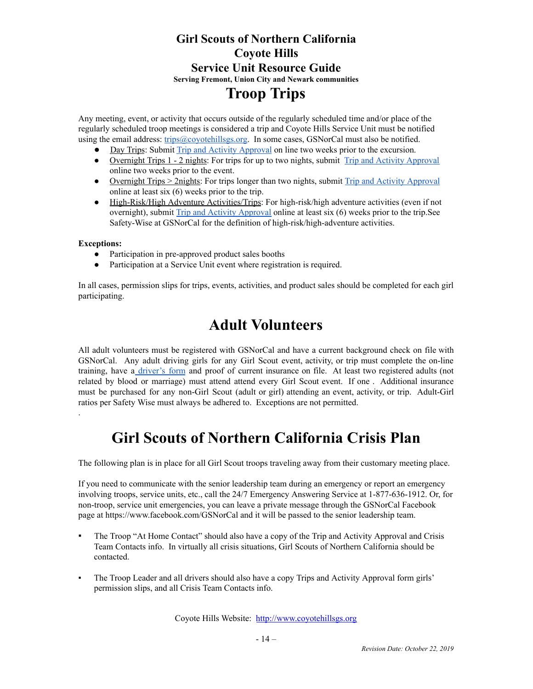Any meeting, event, or activity that occurs outside of the regularly scheduled time and/or place of the regularly scheduled troop meetings is considered a trip and Coyote Hills Service Unit must be notified using the email address: [trips@coyotehillsgs.org](mailto:trips@coyotehillsgs.org). In some cases, GSNorCal must also be notified.

- Day Trips: Submit Trip and Activity [Approval](https://www.gsnorcal.org/en/our-council/documents-and-publications/Trip_Or_High_Adventure_Approval_Form.html) on line two weeks prior to the excursion.
- Overnight Trips 1 2 nights: For trips for up to two nights, submit Trip and Activity [Approval](https://www.gsnorcal.org/en/our-council/documents-and-publications/Trip_Or_High_Adventure_Approval_Form.html) online two weeks prior to the event.
- Overnight Trips > 2nights: For trips longer than two nights, submit Trip and Activity [Approval](https://www.gsnorcal.org/en/our-council/documents-and-publications/Trip_Or_High_Adventure_Approval_Form.html) online at least six (6) weeks prior to the trip.
- High-Risk/High Adventure Activities/Trips: For high-risk/high adventure activities (even if not overnight), submit Trip and Activity [Approval](https://www.gsnorcal.org/en/our-council/documents-and-publications/Trip_Or_High_Adventure_Approval_Form.html) online at least six (6) weeks prior to the trip.See Safety-Wise at GSNorCal for the definition of high-risk/high-adventure activities.

#### **Exceptions:**

.

- Participation in pre-approved product sales booths
- Participation at a Service Unit event where registration is required.

In all cases, permission slips for trips, events, activities, and product sales should be completed for each girl participating.

# **Adult Volunteers**

All adult volunteers must be registered with GSNorCal and have a current background check on file with GSNorCal. Any adult driving girls for any Girl Scout event, activity, or trip must complete the on-line training, have a [driver's](https://www.gsnorcal.org/content/dam/girlscouts-gsnorcal/documents/volunteer_resources/risk/troop-driver-form.pdf) form and proof of current insurance on file. At least two registered adults (not related by blood or marriage) must attend attend every Girl Scout event. If one . Additional insurance must be purchased for any non-Girl Scout (adult or girl) attending an event, activity, or trip. Adult-Girl ratios per Safety Wise must always be adhered to. Exceptions are not permitted.

# **Girl Scouts of Northern California Crisis Plan**

The following plan is in place for all Girl Scout troops traveling away from their customary meeting place.

If you need to communicate with the senior leadership team during an emergency or report an emergency involving troops, service units, etc., call the 24/7 Emergency Answering Service at 1-877-636-1912. Or, for non-troop, service unit emergencies, you can leave a private message through the GSNorCal Facebook page at https://www.facebook.com/GSNorCal and it will be passed to the senior leadership team.

- The Troop "At Home Contact" should also have a copy of the Trip and Activity Approval and Crisis Team Contacts info. In virtually all crisis situations, Girl Scouts of Northern California should be contacted.
- The Troop Leader and all drivers should also have a copy Trips and Activity Approval form girls' permission slips, and all Crisis Team Contacts info.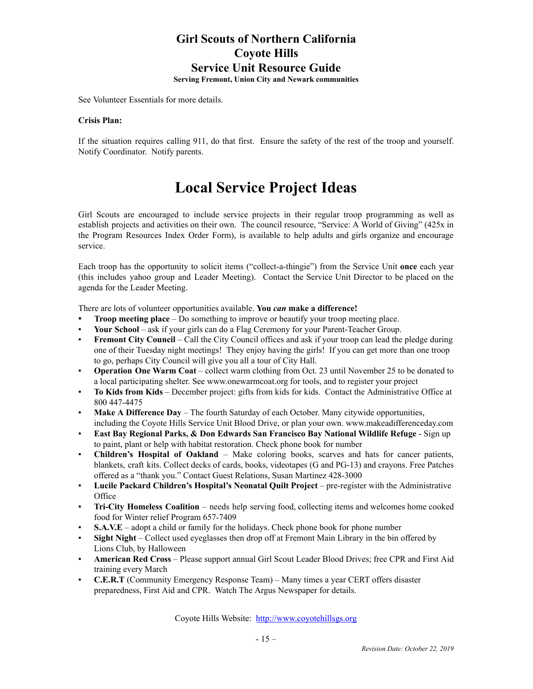**Serving Fremont, Union City and Newark communities** 

See Volunteer Essentials for more details.

#### **Crisis Plan:**

If the situation requires calling 911, do that first. Ensure the safety of the rest of the troop and yourself. Notify Coordinator. Notify parents.

# **Local Service Project Ideas**

Girl Scouts are encouraged to include service projects in their regular troop programming as well as establish projects and activities on their own. The council resource, "Service: A World of Giving" (425x in the Program Resources Index Order Form), is available to help adults and girls organize and encourage service.

Each troop has the opportunity to solicit items ("collect-a-thingie") from the Service Unit **once** each year (this includes yahoo group and Leader Meeting). Contact the Service Unit Director to be placed on the agenda for the Leader Meeting.

There are lots of volunteer opportunities available. **You** *can* **make a difference!**

- **Troop meeting place** Do something to improve or beautify your troop meeting place.
- Your School ask if your girls can do a Flag Ceremony for your Parent-Teacher Group.
- **Fremont City Council** Call the City Council offices and ask if your troop can lead the pledge during one of their Tuesday night meetings! They enjoy having the girls! If you can get more than one troop to go, perhaps City Council will give you all a tour of City Hall.
- **Operation One Warm Coat** collect warm clothing from Oct. 23 until November 25 to be donated to a local participating shelter. See www.onewarmcoat.org for tools, and to register your project
- **To Kids from Kids** December project: gifts from kids for kids. Contact the Administrative Office at 800 447-4475
- **Make A Difference Day** The fourth Saturday of each October. Many citywide opportunities, including the Coyote Hills Service Unit Blood Drive, or plan your own. [www.makeadifferenceday.com](http://www.makeadifferencedayusa.org/)
- **East Bay Regional Parks, & Don Edwards San Francisco Bay National Wildlife Refuge** Sign up to paint, plant or help with habitat restoration. Check phone book for number
- **Children's Hospital of Oakland** Make coloring books, scarves and hats for cancer patients, blankets, craft kits. Collect decks of cards, books, videotapes (G and PG-13) and crayons. Free Patches offered as a "thank you." Contact Guest Relations, Susan Martinez 428-3000
- **Lucile Packard Children's Hospital's Neonatal Quilt Project** pre-register with the Administrative Office
- **Tri-City Homeless Coalition** needs help serving food, collecting items and welcomes home cooked food for Winter relief Program 657-7409
- **S.A.V.E** adopt a child or family for the holidays. Check phone book for phone number
- **Sight Night** Collect used eyeglasses then drop off at Fremont Main Library in the bin offered by Lions Club, by Halloween
- **American Red Cross** Please support annual Girl Scout Leader Blood Drives; free CPR and First Aid training every March
- **C.E.R.T** (Community Emergency Response Team) Many times a year CERT offers disaster preparedness, First Aid and CPR. Watch The Argus Newspaper for details.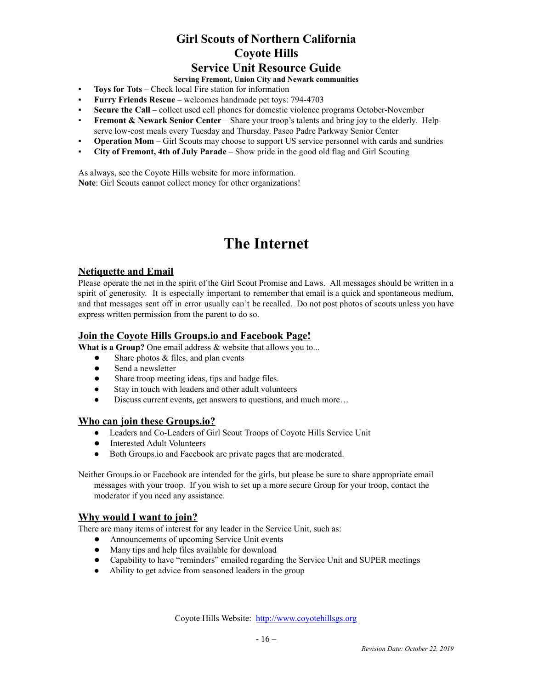### **Service Unit Resource Guide**

#### **Serving Fremont, Union City and Newark communities**

- **Toys for Tots** Check local Fire station for information
- **Furry Friends Rescue** welcomes handmade pet toys: 794-4703
- **Secure the Call** collect used cell phones for domestic violence programs October-November
- **Fremont & Newark Senior Center** Share your troop's talents and bring joy to the elderly. Help serve low-cost meals every Tuesday and Thursday. Paseo Padre Parkway Senior Center
- **Operation Mom** Girl Scouts may choose to support US service personnel with cards and sundries
- **City of Fremont, 4th of July Parade** Show pride in the good old flag and Girl Scouting

As always, see the Coyote Hills website for more information. **Note**: Girl Scouts cannot collect money for other organizations!

# **The Internet**

#### <span id="page-15-0"></span>**Netiquette and Email**

Please operate the net in the spirit of the Girl Scout Promise and Laws. All messages should be written in a spirit of generosity. It is especially important to remember that email is a quick and spontaneous medium, and that messages sent off in error usually can't be recalled. Do not post photos of scouts unless you have express written permission from the parent to do so.

#### <span id="page-15-1"></span>**Join the Coyote Hills Groups.io and Facebook Page!**

**What is a Group?** One email address & website that allows you to...

- $\bullet$  Share photos & files, and plan events
- Send a newsletter
- Share troop meeting ideas, tips and badge files.
- Stay in touch with leaders and other adult volunteers
- Discuss current events, get answers to questions, and much more...

#### <span id="page-15-2"></span>**Who can join these Groups.io?**

- Leaders and Co-Leaders of Girl Scout Troops of Coyote Hills Service Unit
- Interested Adult Volunteers
- Both Groups.io and Facebook are private pages that are moderated.

Neither Groups.io or Facebook are intended for the girls, but please be sure to share appropriate email messages with your troop. If you wish to set up a more secure Group for your troop, contact the moderator if you need any assistance.

#### <span id="page-15-3"></span>**Why would I want to join?**

There are many items of interest for any leader in the Service Unit, such as:

- Announcements of upcoming Service Unit events
- Many tips and help files available for download
- Capability to have "reminders" emailed regarding the Service Unit and SUPER meetings
- Ability to get advice from seasoned leaders in the group